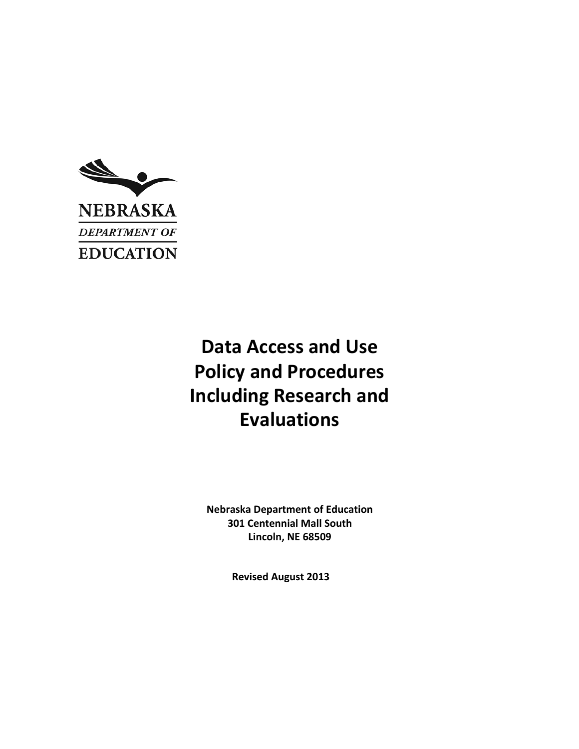

# **Data Access and Use Policy and Procedures Including Research and Evaluations**

**Nebraska Department of Education 301 Centennial Mall South Lincoln, NE 68509**

**Revised August 2013**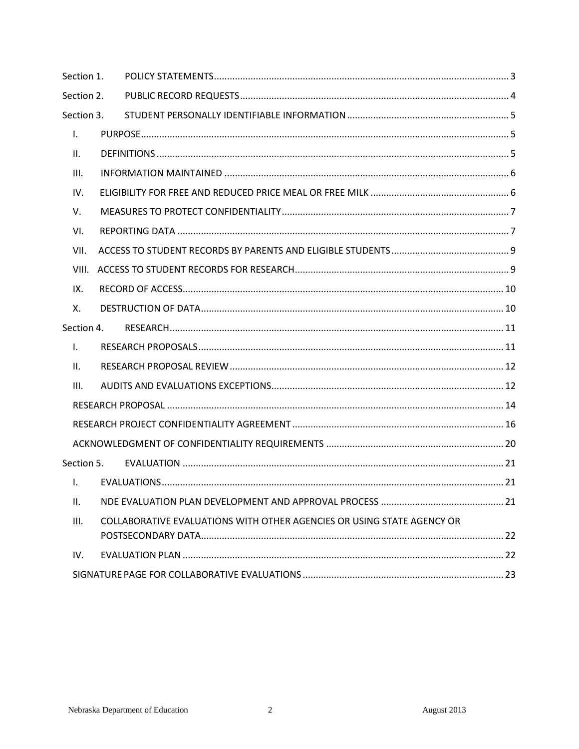| Section 1.   |  |                                                                        |  |
|--------------|--|------------------------------------------------------------------------|--|
| Section 2.   |  |                                                                        |  |
| Section 3.   |  |                                                                        |  |
| Τ.           |  |                                                                        |  |
| Ш.           |  |                                                                        |  |
| III.         |  |                                                                        |  |
| IV.          |  |                                                                        |  |
| V.           |  |                                                                        |  |
| VI.          |  |                                                                        |  |
| VII.         |  |                                                                        |  |
| VIII.        |  |                                                                        |  |
| IX.          |  |                                                                        |  |
| Χ.           |  |                                                                        |  |
| Section 4.   |  |                                                                        |  |
| $\mathbf{L}$ |  |                                                                        |  |
| ΙΙ.          |  |                                                                        |  |
| III.         |  |                                                                        |  |
|              |  |                                                                        |  |
|              |  |                                                                        |  |
|              |  |                                                                        |  |
| Section 5.   |  |                                                                        |  |
| I.           |  |                                                                        |  |
| ΙΙ.          |  |                                                                        |  |
| III.         |  | COLLABORATIVE EVALUATIONS WITH OTHER AGENCIES OR USING STATE AGENCY OR |  |
| IV.          |  |                                                                        |  |
|              |  |                                                                        |  |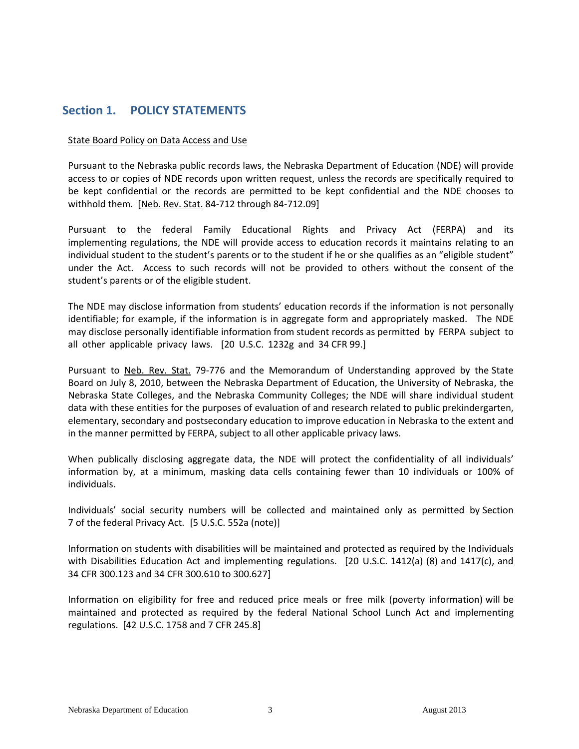# <span id="page-2-0"></span>**Section 1. POLICY STATEMENTS**

#### State Board Policy on Data Access and Use

Pursuant to the Nebraska public records laws, the Nebraska Department of Education (NDE) will provide access to or copies of NDE records upon written request, unless the records are specifically required to be kept confidential or the records are permitted to be kept confidential and the NDE chooses to withhold them. [Neb. Rev. Stat. 84-712 through 84-712.09]

Pursuant to the federal Family Educational Rights and Privacy Act (FERPA) and its implementing regulations, the NDE will provide access to education records it maintains relating to an individual student to the student's parents or to the student if he or she qualifies as an "eligible student" under the Act. Access to such records will not be provided to others without the consent of the student's parents or of the eligible student.

The NDE may disclose information from students' education records if the information is not personally identifiable; for example, if the information is in aggregate form and appropriately masked. The NDE may disclose personally identifiable information from student records as permitted by FERPA subject to all other applicable privacy laws. [20 U.S.C. 1232g and 34 CFR 99.]

Pursuant to Neb. Rev. Stat. 79-776 and the Memorandum of Understanding approved by the State Board on July 8, 2010, between the Nebraska Department of Education, the University of Nebraska, the Nebraska State Colleges, and the Nebraska Community Colleges; the NDE will share individual student data with these entities for the purposes of evaluation of and research related to public prekindergarten, elementary, secondary and postsecondary education to improve education in Nebraska to the extent and in the manner permitted by FERPA, subject to all other applicable privacy laws.

When publically disclosing aggregate data, the NDE will protect the confidentiality of all individuals' information by, at a minimum, masking data cells containing fewer than 10 individuals or 100% of individuals.

Individuals' social security numbers will be collected and maintained only as permitted by Section 7 of the federal Privacy Act. [5 U.S.C. 552a (note)]

Information on students with disabilities will be maintained and protected as required by the Individuals with Disabilities Education Act and implementing regulations. [20 U.S.C. 1412(a) (8) and 1417(c), and 34 CFR 300.123 and 34 CFR 300.610 to 300.627]

Information on eligibility for free and reduced price meals or free milk (poverty information) will be maintained and protected as required by the federal National School Lunch Act and implementing regulations. [42 U.S.C. 1758 and 7 CFR 245.8]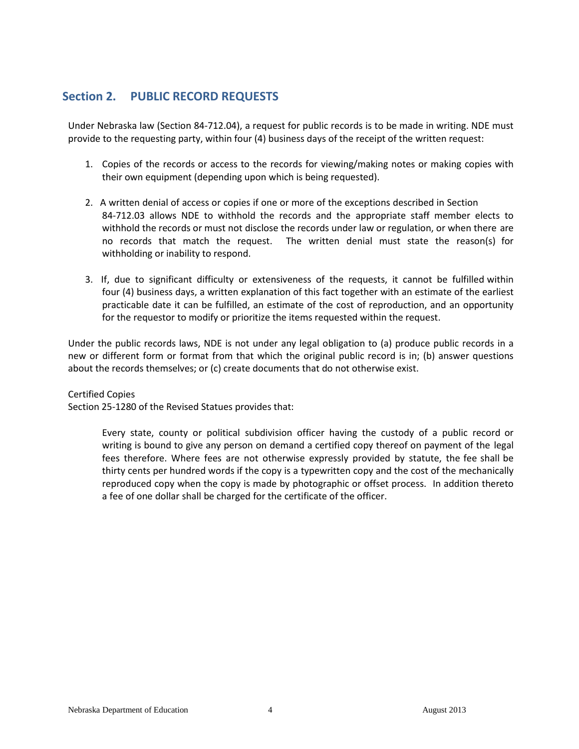# <span id="page-3-0"></span>**Section 2. PUBLIC RECORD REQUESTS**

Under Nebraska law (Section 84-712.04), a request for public records is to be made in writing. NDE must provide to the requesting party, within four (4) business days of the receipt of the written request:

- 1. Copies of the records or access to the records for viewing/making notes or making copies with their own equipment (depending upon which is being requested).
- 2. A written denial of access or copies if one or more of the exceptions described in Section 84-712.03 allows NDE to withhold the records and the appropriate staff member elects to withhold the records or must not disclose the records under law or regulation, or when there are no records that match the request. The written denial must state the reason(s) for withholding or inability to respond.
- 3. If, due to significant difficulty or extensiveness of the requests, it cannot be fulfilled within four (4) business days, a written explanation of this fact together with an estimate of the earliest practicable date it can be fulfilled, an estimate of the cost of reproduction, and an opportunity for the requestor to modify or prioritize the items requested within the request.

Under the public records laws, NDE is not under any legal obligation to (a) produce public records in a new or different form or format from that which the original public record is in; (b) answer questions about the records themselves; or (c) create documents that do not otherwise exist.

#### Certified Copies

Section 25-1280 of the Revised Statues provides that:

Every state, county or political subdivision officer having the custody of a public record or writing is bound to give any person on demand a certified copy thereof on payment of the legal fees therefore. Where fees are not otherwise expressly provided by statute, the fee shall be thirty cents per hundred words if the copy is a typewritten copy and the cost of the mechanically reproduced copy when the copy is made by photographic or offset process. In addition thereto a fee of one dollar shall be charged for the certificate of the officer.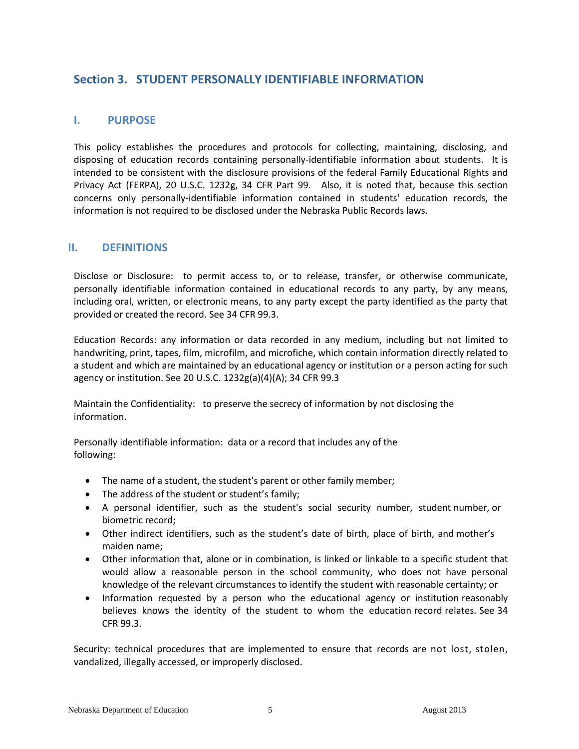# <span id="page-4-0"></span>**Section 3. STUDENT PERSONALLY IDENTIFIABLE INFORMATION**

## <span id="page-4-1"></span>**I. PURPOSE**

This policy establishes the procedures and protocols for collecting, maintaining, disclosing, and disposing of education records containing personally-identifiable information about students. It is intended to be consistent with the disclosure provisions of the federal Family Educational Rights and Privacy Act (FERPA), 20 U.S.C. 1232g, 34 CFR Part 99. Also, it is noted that, because this section concerns only personally-identifiable information contained in students' education records, the information is not required to be disclosed under the Nebraska Public Records laws.

## <span id="page-4-2"></span>**II. DEFINITIONS**

Disclose or Disclosure: to permit access to, or to release, transfer, or otherwise communicate, personally identifiable information contained in educational records to any party, by any means, including oral, written, or electronic means, to any party except the party identified as the party that provided or created the record. See 34 CFR 99.3.

Education Records: any information or data recorded in any medium, including but not limited to handwriting, print, tapes, film, microfilm, and microfiche, which contain information directly related to a student and which are maintained by an educational agency or institution or a person acting for such agency or institution. See 20 U.S.C. 1232g(a)(4)(A); 34 CFR 99.3

Maintain the Confidentiality: to preserve the secrecy of information by not disclosing the information.

Personally identifiable information: data or a record that includes any of the following:

- The name of a student, the student's parent or other family member;
- The address of the student or student's family;
- A personal identifier, such as the student's social security number, student number, or biometric record;
- Other indirect identifiers, such as the student's date of birth, place of birth, and mother's maiden name;
- Other information that, alone or in combination, is linked or linkable to a specific student that would allow a reasonable person in the school community, who does not have personal knowledge of the relevant circumstances to identify the student with reasonable certainty; or
- Information requested by a person who the educational agency or institution reasonably believes knows the identity of the student to whom the education record relates. See 34 CFR 99.3.

Security: technical procedures that are implemented to ensure that records are not lost, stolen, vandalized, illegally accessed, or improperly disclosed.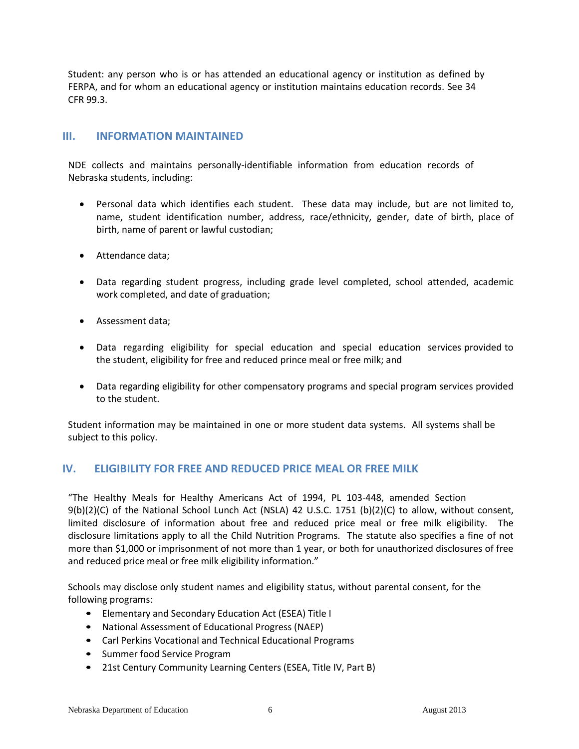Student: any person who is or has attended an educational agency or institution as defined by FERPA, and for whom an educational agency or institution maintains education records. See 34 CFR 99.3.

### <span id="page-5-0"></span>**III. INFORMATION MAINTAINED**

NDE collects and maintains personally-identifiable information from education records of Nebraska students, including:

- Personal data which identifies each student. These data may include, but are not limited to, name, student identification number, address, race/ethnicity, gender, date of birth, place of birth, name of parent or lawful custodian;
- Attendance data;
- Data regarding student progress, including grade level completed, school attended, academic work completed, and date of graduation;
- Assessment data;
- Data regarding eligibility for special education and special education services provided to the student, eligibility for free and reduced prince meal or free milk; and
- Data regarding eligibility for other compensatory programs and special program services provided to the student.

Student information may be maintained in one or more student data systems. All systems shall be subject to this policy.

## <span id="page-5-1"></span>**IV. ELIGIBILITY FOR FREE AND REDUCED PRICE MEAL OR FREE MILK**

"The Healthy Meals for Healthy Americans Act of 1994, PL 103-448, amended Section 9(b)(2)(C) of the National School Lunch Act (NSLA) 42 U.S.C. 1751 (b)(2)(C) to allow, without consent, limited disclosure of information about free and reduced price meal or free milk eligibility. The disclosure limitations apply to all the Child Nutrition Programs. The statute also specifies a fine of not more than \$1,000 or imprisonment of not more than 1 year, or both for unauthorized disclosures of free and reduced price meal or free milk eligibility information."

Schools may disclose only student names and eligibility status, without parental consent, for the following programs:

- Elementary and Secondary Education Act (ESEA) Title I
- National Assessment of Educational Progress (NAEP)
- Carl Perkins Vocational and Technical Educational Programs
- Summer food Service Program
- 21st Century Community Learning Centers (ESEA, Title IV, Part B)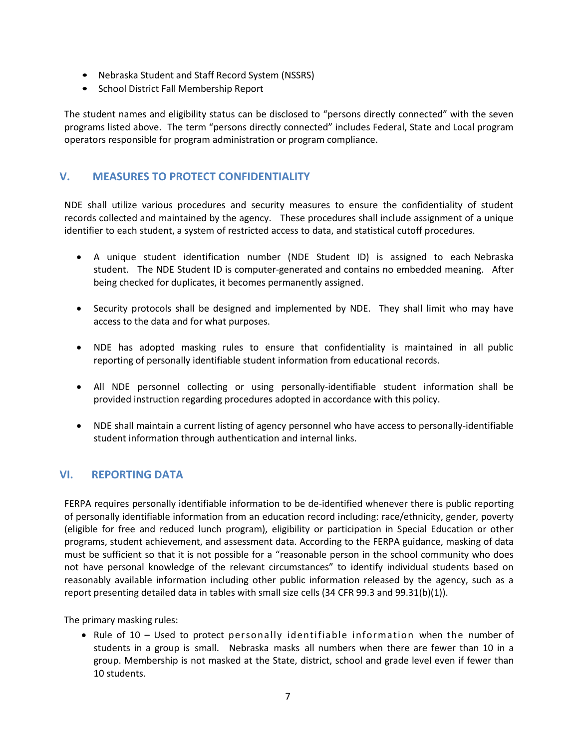- Nebraska Student and Staff Record System (NSSRS)
- School District Fall Membership Report

The student names and eligibility status can be disclosed to "persons directly connected" with the seven programs listed above. The term "persons directly connected" includes Federal, State and Local program operators responsible for program administration or program compliance.

# <span id="page-6-0"></span>**V. MEASURES TO PROTECT CONFIDENTIALITY**

NDE shall utilize various procedures and security measures to ensure the confidentiality of student records collected and maintained by the agency. These procedures shall include assignment of a unique identifier to each student, a system of restricted access to data, and statistical cutoff procedures.

- A unique student identification number (NDE Student ID) is assigned to each Nebraska student. The NDE Student ID is computer-generated and contains no embedded meaning. After being checked for duplicates, it becomes permanently assigned.
- Security protocols shall be designed and implemented by NDE. They shall limit who may have access to the data and for what purposes.
- NDE has adopted masking rules to ensure that confidentiality is maintained in all public reporting of personally identifiable student information from educational records.
- All NDE personnel collecting or using personally-identifiable student information shall be provided instruction regarding procedures adopted in accordance with this policy.
- NDE shall maintain a current listing of agency personnel who have access to personally-identifiable student information through authentication and internal links.

## <span id="page-6-1"></span>**VI. REPORTING DATA**

FERPA requires personally identifiable information to be de-identified whenever there is public reporting of personally identifiable information from an education record including: race/ethnicity, gender, poverty (eligible for free and reduced lunch program), eligibility or participation in Special Education or other programs, student achievement, and assessment data. According to the FERPA guidance, masking of data must be sufficient so that it is not possible for a "reasonable person in the school community who does not have personal knowledge of the relevant circumstances" to identify individual students based on reasonably available information including other public information released by the agency, such as a report presenting detailed data in tables with small size cells (34 CFR 99.3 and 99.31(b)(1)).

The primary masking rules:

• Rule of  $10 -$  Used to protect personally identifiable information when the number of students in a group is small. Nebraska masks all numbers when there are fewer than 10 in a group. Membership is not masked at the State, district, school and grade level even if fewer than 10 students.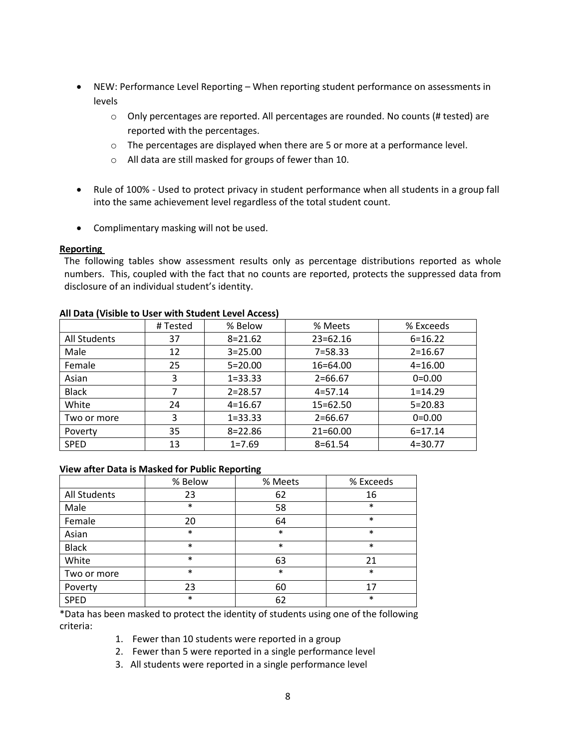- NEW: Performance Level Reporting When reporting student performance on assessments in levels
	- o Only percentages are reported. All percentages are rounded. No counts (# tested) are reported with the percentages.
	- o The percentages are displayed when there are 5 or more at a performance level.
	- o All data are still masked for groups of fewer than 10.
- Rule of 100% Used to protect privacy in student performance when all students in a group fall into the same achievement level regardless of the total student count.
- Complimentary masking will not be used.

#### **Reporting**

The following tables show assessment results only as percentage distributions reported as whole numbers. This, coupled with the fact that no counts are reported, protects the suppressed data from disclosure of an individual student's identity.

| AT DUM I VISIDIC TO OSCI WITH STUUCHT ECVCI ACCCSSI |          |             |              |             |
|-----------------------------------------------------|----------|-------------|--------------|-------------|
|                                                     | # Tested | % Below     | % Meets      | % Exceeds   |
| All Students                                        | 37       | $8 = 21.62$ | $23 = 62.16$ | $6 = 16.22$ |
| Male                                                | 12       | $3 = 25.00$ | $7 = 58.33$  | $2 = 16.67$ |
| Female                                              | 25       | $5=20.00$   | 16=64.00     | $4 = 16.00$ |
| Asian                                               | 3        | $1 = 33.33$ | $2=66.67$    | $0=0.00$    |
| <b>Black</b>                                        |          | $2 = 28.57$ | $4 = 57.14$  | $1 = 14.29$ |
| White                                               | 24       | $4 = 16.67$ | 15=62.50     | $5 = 20.83$ |
| Two or more                                         | 3        | $1 = 33.33$ | $2 = 66.67$  | $0=0.00$    |
| Poverty                                             | 35       | $8 = 22.86$ | $21 = 60.00$ | $6 = 17.14$ |
| <b>SPED</b>                                         | 13       | $1 = 7.69$  | $8 = 61.54$  | $4=30.77$   |

## **All Data (Visible to User with Student Level Access)**

#### **View after Data is Masked for Public Reporting**

|              | % Below | % Meets | % Exceeds |
|--------------|---------|---------|-----------|
| All Students | 23      | 62      | 16        |
| Male         | $\ast$  | 58      | $\ast$    |
| Female       | 20      | 64      | $\ast$    |
| Asian        | $\ast$  | $\ast$  | $\ast$    |
| <b>Black</b> | $\ast$  | $\ast$  | $\ast$    |
| White        | $\ast$  | 63      | 21        |
| Two or more  | $\ast$  | $\ast$  | $\ast$    |
| Poverty      | 23      | 60      | 17        |
| <b>SPED</b>  | $\ast$  | 62      | $\ast$    |

\*Data has been masked to protect the identity of students using one of the following criteria:

- 1. Fewer than 10 students were reported in a group
- 2. Fewer than 5 were reported in a single performance level
- 3. All students were reported in a single performance level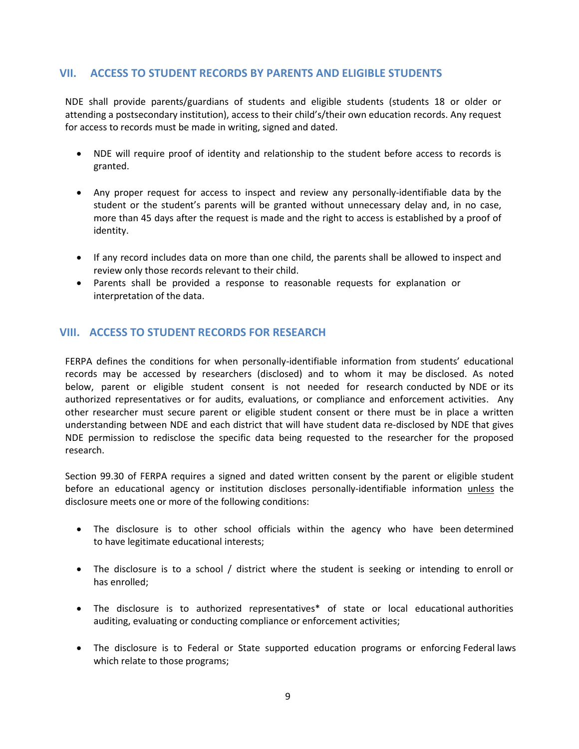## <span id="page-8-0"></span>**VII. ACCESS TO STUDENT RECORDS BY PARENTS AND ELIGIBLE STUDENTS**

NDE shall provide parents/guardians of students and eligible students (students 18 or older or attending a postsecondary institution), access to their child's/their own education records. Any request for access to records must be made in writing, signed and dated.

- NDE will require proof of identity and relationship to the student before access to records is granted.
- Any proper request for access to inspect and review any personally-identifiable data by the student or the student's parents will be granted without unnecessary delay and, in no case, more than 45 days after the request is made and the right to access is established by a proof of identity.
- If any record includes data on more than one child, the parents shall be allowed to inspect and review only those records relevant to their child.
- Parents shall be provided a response to reasonable requests for explanation or interpretation of the data.

## <span id="page-8-1"></span>**VIII. ACCESS TO STUDENT RECORDS FOR RESEARCH**

FERPA defines the conditions for when personally-identifiable information from students' educational records may be accessed by researchers (disclosed) and to whom it may be disclosed. As noted below, parent or eligible student consent is not needed for research conducted by NDE or its authorized representatives or for audits, evaluations, or compliance and enforcement activities. Any other researcher must secure parent or eligible student consent or there must be in place a written understanding between NDE and each district that will have student data re-disclosed by NDE that gives NDE permission to redisclose the specific data being requested to the researcher for the proposed research.

Section 99.30 of FERPA requires a signed and dated written consent by the parent or eligible student before an educational agency or institution discloses personally-identifiable information unless the disclosure meets one or more of the following conditions:

- The disclosure is to other school officials within the agency who have been determined to have legitimate educational interests;
- The disclosure is to a school / district where the student is seeking or intending to enroll or has enrolled;
- The disclosure is to authorized representatives\* of state or local educational authorities auditing, evaluating or conducting compliance or enforcement activities;
- The disclosure is to Federal or State supported education programs or enforcing Federal laws which relate to those programs;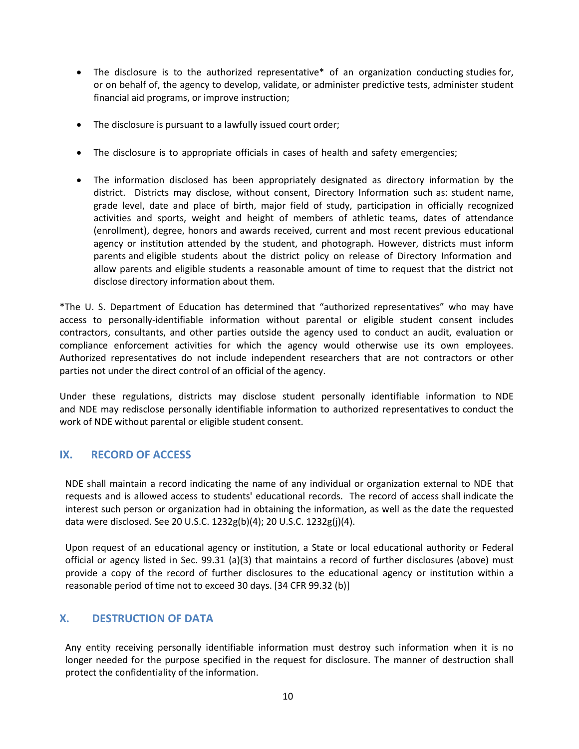- The disclosure is to the authorized representative\* of an organization conducting studies for, or on behalf of, the agency to develop, validate, or administer predictive tests, administer student financial aid programs, or improve instruction;
- The disclosure is pursuant to a lawfully issued court order;
- The disclosure is to appropriate officials in cases of health and safety emergencies;
- The information disclosed has been appropriately designated as directory information by the district. Districts may disclose, without consent, Directory Information such as: student name, grade level, date and place of birth, major field of study, participation in officially recognized activities and sports, weight and height of members of athletic teams, dates of attendance (enrollment), degree, honors and awards received, current and most recent previous educational agency or institution attended by the student, and photograph. However, districts must inform parents and eligible students about the district policy on release of Directory Information and allow parents and eligible students a reasonable amount of time to request that the district not disclose directory information about them.

\*The U. S. Department of Education has determined that "authorized representatives" who may have access to personally-identifiable information without parental or eligible student consent includes contractors, consultants, and other parties outside the agency used to conduct an audit, evaluation or compliance enforcement activities for which the agency would otherwise use its own employees. Authorized representatives do not include independent researchers that are not contractors or other parties not under the direct control of an official of the agency.

Under these regulations, districts may disclose student personally identifiable information to NDE and NDE may redisclose personally identifiable information to authorized representatives to conduct the work of NDE without parental or eligible student consent.

## <span id="page-9-0"></span>**IX. RECORD OF ACCESS**

NDE shall maintain a record indicating the name of any individual or organization external to NDE that requests and is allowed access to students' educational records. The record of access shall indicate the interest such person or organization had in obtaining the information, as well as the date the requested data were disclosed. See 20 U.S.C. 1232g(b)(4); 20 U.S.C. 1232g(j)(4).

Upon request of an educational agency or institution, a State or local educational authority or Federal official or agency listed in Sec. 99.31 (a)(3) that maintains a record of further disclosures (above) must provide a copy of the record of further disclosures to the educational agency or institution within a reasonable period of time not to exceed 30 days. [34 CFR 99.32 (b)]

## <span id="page-9-1"></span>**X. DESTRUCTION OF DATA**

Any entity receiving personally identifiable information must destroy such information when it is no longer needed for the purpose specified in the request for disclosure. The manner of destruction shall protect the confidentiality of the information.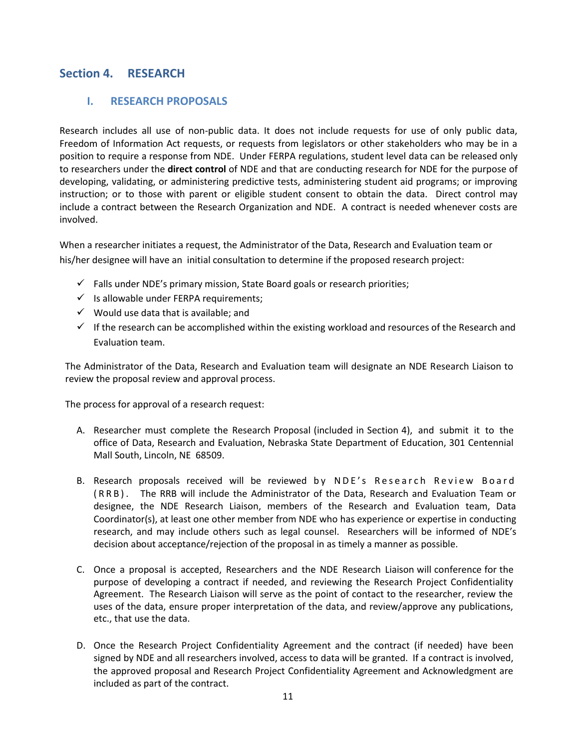# <span id="page-10-1"></span><span id="page-10-0"></span>**Section 4. RESEARCH**

## **I. RESEARCH PROPOSALS**

Research includes all use of non-public data. It does not include requests for use of only public data, Freedom of Information Act requests, or requests from legislators or other stakeholders who may be in a position to require a response from NDE. Under FERPA regulations, student level data can be released only to researchers under the **direct control** of NDE and that are conducting research for NDE for the purpose of developing, validating, or administering predictive tests, administering student aid programs; or improving instruction; or to those with parent or eligible student consent to obtain the data. Direct control may include a contract between the Research Organization and NDE. A contract is needed whenever costs are involved.

When a researcher initiates a request, the Administrator of the Data, Research and Evaluation team or his/her designee will have an initial consultation to determine if the proposed research project:

- $\checkmark$  Falls under NDE's primary mission, State Board goals or research priorities;
- $\checkmark$  Is allowable under FERPA requirements;
- $\checkmark$  Would use data that is available; and
- $\checkmark$  If the research can be accomplished within the existing workload and resources of the Research and Evaluation team.

The Administrator of the Data, Research and Evaluation team will designate an NDE Research Liaison to review the proposal review and approval process.

The process for approval of a research request:

- A. Researcher must complete the Research Proposal (included in Section 4), and submit it to the office of Data, Research and Evaluation, Nebraska State Department of Education, 301 Centennial Mall South, Lincoln, NE 68509.
- B. Research proposals received will be reviewed by NDE's Research Review Board ( R R B ) . The RRB will include the Administrator of the Data, Research and Evaluation Team or designee, the NDE Research Liaison, members of the Research and Evaluation team, Data Coordinator(s), at least one other member from NDE who has experience or expertise in conducting research, and may include others such as legal counsel. Researchers will be informed of NDE's decision about acceptance/rejection of the proposal in as timely a manner as possible.
- C. Once a proposal is accepted, Researchers and the NDE Research Liaison will conference for the purpose of developing a contract if needed, and reviewing the Research Project Confidentiality Agreement. The Research Liaison will serve as the point of contact to the researcher, review the uses of the data, ensure proper interpretation of the data, and review/approve any publications, etc., that use the data.
- D. Once the Research Project Confidentiality Agreement and the contract (if needed) have been signed by NDE and all researchers involved, access to data will be granted. If a contract is involved, the approved proposal and Research Project Confidentiality Agreement and Acknowledgment are included as part of the contract.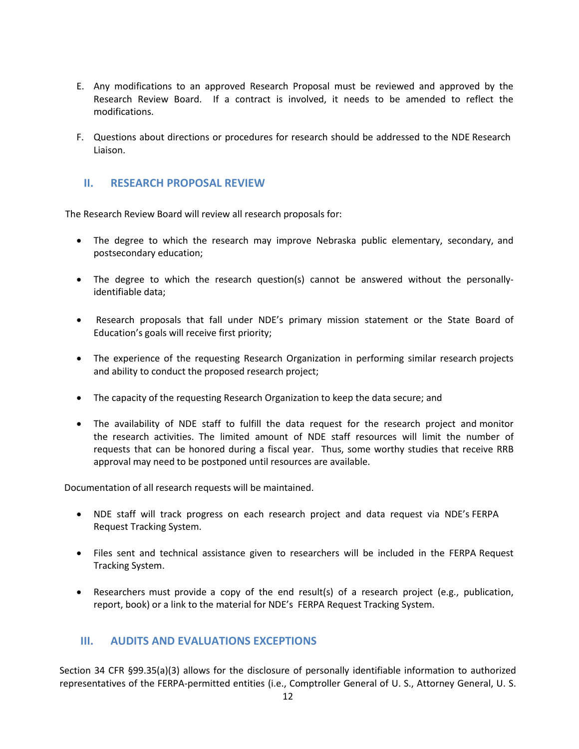- E. Any modifications to an approved Research Proposal must be reviewed and approved by the Research Review Board. If a contract is involved, it needs to be amended to reflect the modifications.
- F. Questions about directions or procedures for research should be addressed to the NDE Research Liaison.

#### <span id="page-11-0"></span>**II. RESEARCH PROPOSAL REVIEW**

The Research Review Board will review all research proposals for:

- The degree to which the research may improve Nebraska public elementary, secondary, and postsecondary education;
- The degree to which the research question(s) cannot be answered without the personallyidentifiable data;
- Research proposals that fall under NDE's primary mission statement or the State Board of Education's goals will receive first priority;
- The experience of the requesting Research Organization in performing similar research projects and ability to conduct the proposed research project;
- The capacity of the requesting Research Organization to keep the data secure; and
- The availability of NDE staff to fulfill the data request for the research project and monitor the research activities. The limited amount of NDE staff resources will limit the number of requests that can be honored during a fiscal year. Thus, some worthy studies that receive RRB approval may need to be postponed until resources are available.

Documentation of all research requests will be maintained.

- NDE staff will track progress on each research project and data request via NDE's FERPA Request Tracking System.
- Files sent and technical assistance given to researchers will be included in the FERPA Request Tracking System.
- Researchers must provide a copy of the end result(s) of a research project (e.g., publication, report, book) or a link to the material for NDE's FERPA Request Tracking System.

### <span id="page-11-1"></span>**III. AUDITS AND EVALUATIONS EXCEPTIONS**

Section 34 CFR §99.35(a)(3) allows for the disclosure of personally identifiable information to authorized representatives of the FERPA-permitted entities (i.e., Comptroller General of U. S., Attorney General, U. S.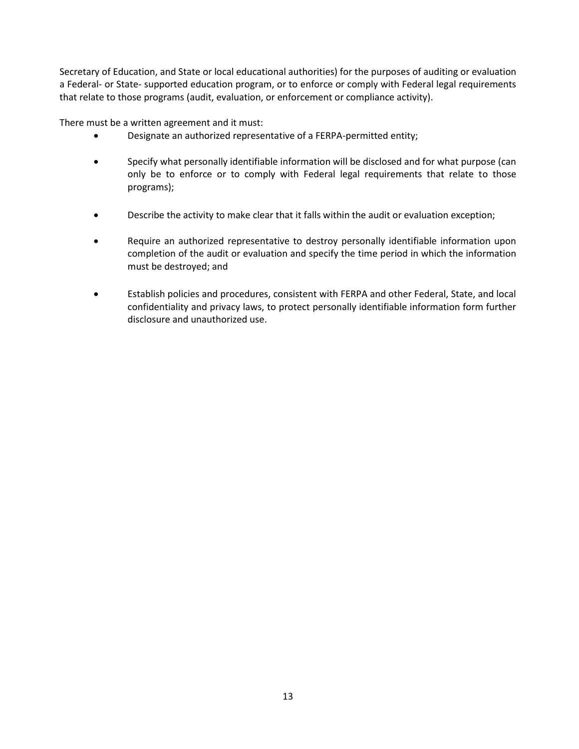Secretary of Education, and State or local educational authorities) for the purposes of auditing or evaluation a Federal- or State- supported education program, or to enforce or comply with Federal legal requirements that relate to those programs (audit, evaluation, or enforcement or compliance activity).

There must be a written agreement and it must:

- Designate an authorized representative of a FERPA-permitted entity;
- Specify what personally identifiable information will be disclosed and for what purpose (can only be to enforce or to comply with Federal legal requirements that relate to those programs);
- Describe the activity to make clear that it falls within the audit or evaluation exception;
- Require an authorized representative to destroy personally identifiable information upon completion of the audit or evaluation and specify the time period in which the information must be destroyed; and
- Establish policies and procedures, consistent with FERPA and other Federal, State, and local confidentiality and privacy laws, to protect personally identifiable information form further disclosure and unauthorized use.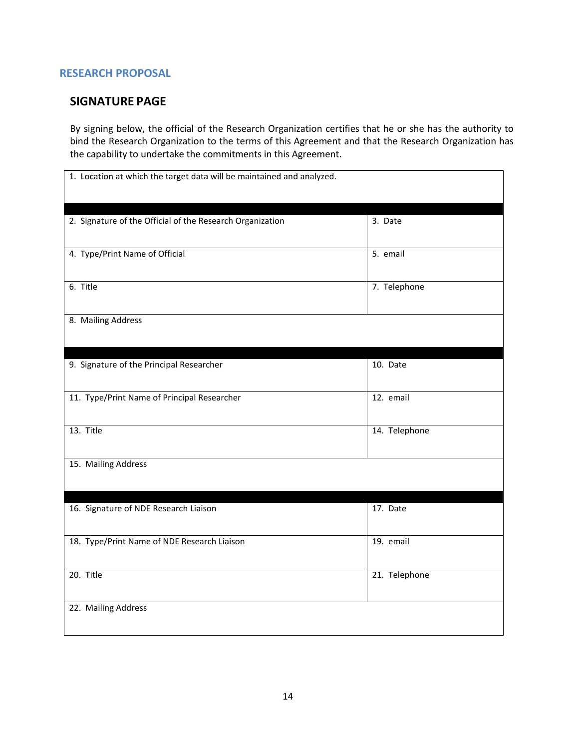## <span id="page-13-0"></span>**RESEARCH PROPOSAL**

## **SIGNATURE PAGE**

By signing below, the official of the Research Organization certifies that he or she has the authority to bind the Research Organization to the terms of this Agreement and that the Research Organization has the capability to undertake the commitments in this Agreement.

| 1. Location at which the target data will be maintained and analyzed. |               |
|-----------------------------------------------------------------------|---------------|
| 2. Signature of the Official of the Research Organization             | 3. Date       |
| 4. Type/Print Name of Official                                        | 5. email      |
| 6. Title                                                              | 7. Telephone  |
| 8. Mailing Address                                                    |               |
| 9. Signature of the Principal Researcher                              | 10. Date      |
| 11. Type/Print Name of Principal Researcher                           | 12. email     |
| 13. Title                                                             | 14. Telephone |
| 15. Mailing Address                                                   |               |
| 16. Signature of NDE Research Liaison                                 | 17. Date      |
| 18. Type/Print Name of NDE Research Liaison                           | 19. email     |
| 20. Title                                                             | 21. Telephone |
| 22. Mailing Address                                                   |               |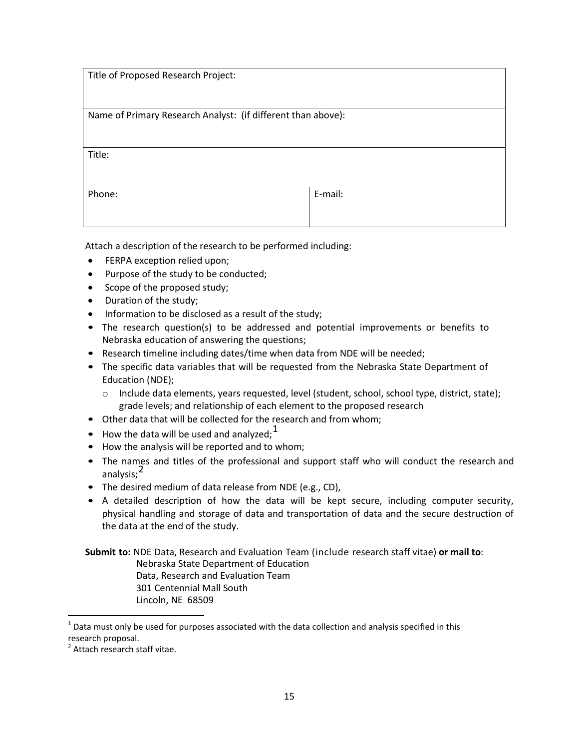| Title of Proposed Research Project:                          |         |  |
|--------------------------------------------------------------|---------|--|
| Name of Primary Research Analyst: (if different than above): |         |  |
| Title:                                                       |         |  |
| Phone:                                                       | E-mail: |  |

Attach a description of the research to be performed including:

- **•** FERPA exception relied upon;
- Purpose of the study to be conducted;
- Scope of the proposed study;
- Duration of the study;
- Information to be disclosed as a result of the study;
- The research question(s) to be addressed and potential improvements or benefits to Nebraska education of answering the questions;
- Research timeline including dates/time when data from NDE will be needed;
- The specific data variables that will be requested from the Nebraska State Department of Education (NDE);
	- o Include data elements, years requested, level (student, school, school type, district, state); grade levels; and relationship of each element to the proposed research
- Other data that will be collected for the research and from whom;
- How the data will be used and analyzed;  $1$
- How the analysis will be reported and to whom;
- The names and titles of the professional and support staff who will conduct the research and analysis;<sup>2</sup>
- The desired medium of data release from NDE (e.g., CD),
- A detailed description of how the data will be kept secure, including computer security, physical handling and storage of data and transportation of data and the secure destruction of the data at the end of the study.

**Submit to:** NDE Data, Research and Evaluation Team (include research staff vitae) **or mail to**: Nebraska State Department of Education Data, Research and Evaluation Team 301 Centennial Mall South Lincoln, NE 68509

 $<sup>1</sup>$  Data must only be used for purposes associated with the data collection and analysis specified in this</sup> research proposal.

<sup>&</sup>lt;sup>2</sup> Attach research staff vitae.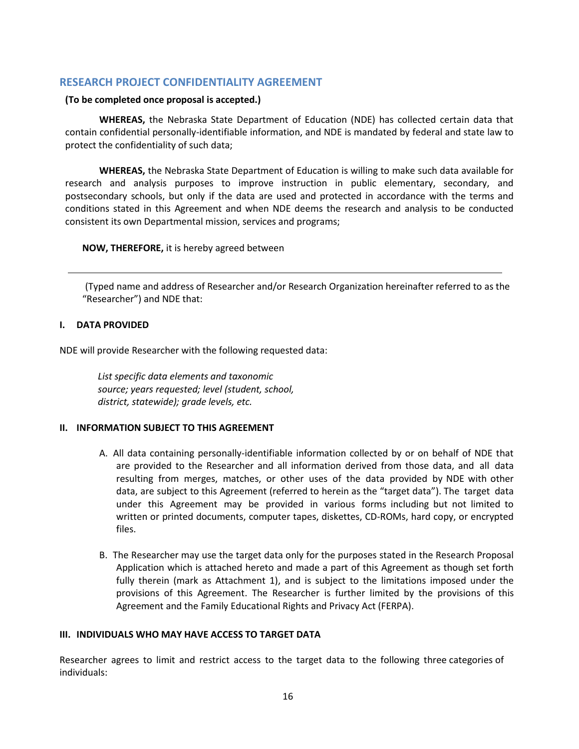### <span id="page-15-0"></span>**RESEARCH PROJECT CONFIDENTIALITY AGREEMENT**

#### **(To be completed once proposal is accepted.)**

**WHEREAS,** the Nebraska State Department of Education (NDE) has collected certain data that contain confidential personally-identifiable information, and NDE is mandated by federal and state law to protect the confidentiality of such data;

**WHEREAS,** the Nebraska State Department of Education is willing to make such data available for research and analysis purposes to improve instruction in public elementary, secondary, and postsecondary schools, but only if the data are used and protected in accordance with the terms and conditions stated in this Agreement and when NDE deems the research and analysis to be conducted consistent its own Departmental mission, services and programs;

#### **NOW, THEREFORE,** it is hereby agreed between

(Typed name and address of Researcher and/or Research Organization hereinafter referred to as the "Researcher") and NDE that:

#### **I. DATA PROVIDED**

NDE will provide Researcher with the following requested data:

*List specific data elements and taxonomic source; years requested; level (student, school, district, statewide); grade levels, etc.*

#### **II. INFORMATION SUBJECT TO THIS AGREEMENT**

- A. All data containing personally-identifiable information collected by or on behalf of NDE that are provided to the Researcher and all information derived from those data, and all data resulting from merges, matches, or other uses of the data provided by NDE with other data, are subject to this Agreement (referred to herein as the "target data"). The target data under this Agreement may be provided in various forms including but not limited to written or printed documents, computer tapes, diskettes, CD-ROMs, hard copy, or encrypted files.
- B. The Researcher may use the target data only for the purposes stated in the Research Proposal Application which is attached hereto and made a part of this Agreement as though set forth fully therein (mark as Attachment 1), and is subject to the limitations imposed under the provisions of this Agreement. The Researcher is further limited by the provisions of this Agreement and the Family Educational Rights and Privacy Act (FERPA).

#### **III. INDIVIDUALS WHO MAY HAVE ACCESS TO TARGET DATA**

Researcher agrees to limit and restrict access to the target data to the following three categories of individuals: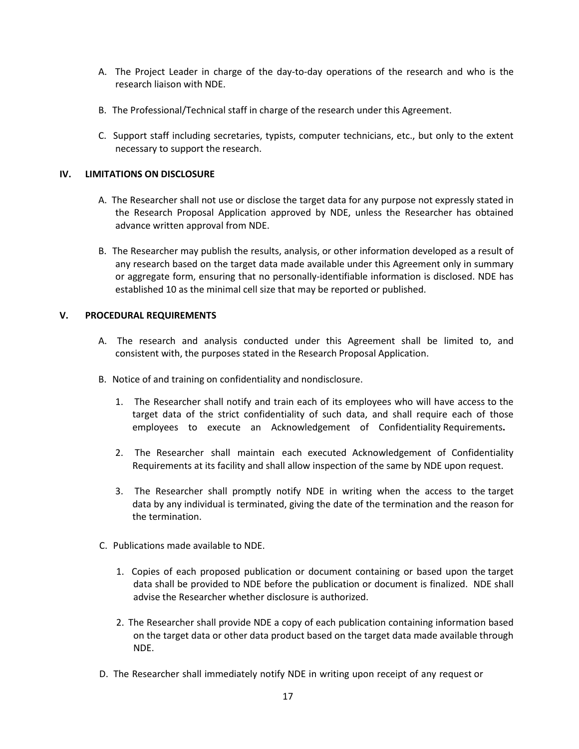- A. The Project Leader in charge of the day-to-day operations of the research and who is the research liaison with NDE.
- B. The Professional/Technical staff in charge of the research under this Agreement.
- C. Support staff including secretaries, typists, computer technicians, etc., but only to the extent necessary to support the research.

#### **IV. LIMITATIONS ON DISCLOSURE**

- A. The Researcher shall not use or disclose the target data for any purpose not expressly stated in the Research Proposal Application approved by NDE, unless the Researcher has obtained advance written approval from NDE.
- B. The Researcher may publish the results, analysis, or other information developed as a result of any research based on the target data made available under this Agreement only in summary or aggregate form, ensuring that no personally-identifiable information is disclosed. NDE has established 10 as the minimal cell size that may be reported or published.

#### **V. PROCEDURAL REQUIREMENTS**

- A. The research and analysis conducted under this Agreement shall be limited to, and consistent with, the purposes stated in the Research Proposal Application.
- B. Notice of and training on confidentiality and nondisclosure.
	- 1. The Researcher shall notify and train each of its employees who will have access to the target data of the strict confidentiality of such data, and shall require each of those employees to execute an Acknowledgement of Confidentiality Requirements**.**
	- 2. The Researcher shall maintain each executed Acknowledgement of Confidentiality Requirements at its facility and shall allow inspection of the same by NDE upon request.
	- 3. The Researcher shall promptly notify NDE in writing when the access to the target data by any individual is terminated, giving the date of the termination and the reason for the termination.
- C. Publications made available to NDE.
	- 1. Copies of each proposed publication or document containing or based upon the target data shall be provided to NDE before the publication or document is finalized. NDE shall advise the Researcher whether disclosure is authorized.
	- 2. The Researcher shall provide NDE a copy of each publication containing information based on the target data or other data product based on the target data made available through NDE.
- D. The Researcher shall immediately notify NDE in writing upon receipt of any request or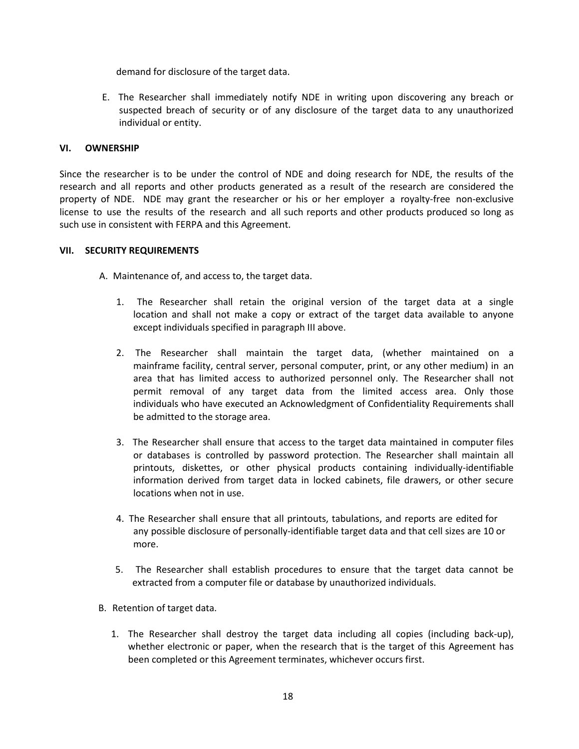demand for disclosure of the target data.

E. The Researcher shall immediately notify NDE in writing upon discovering any breach or suspected breach of security or of any disclosure of the target data to any unauthorized individual or entity.

#### **VI. OWNERSHIP**

Since the researcher is to be under the control of NDE and doing research for NDE, the results of the research and all reports and other products generated as a result of the research are considered the property of NDE. NDE may grant the researcher or his or her employer a royalty-free non-exclusive license to use the results of the research and all such reports and other products produced so long as such use in consistent with FERPA and this Agreement.

#### **VII. SECURITY REQUIREMENTS**

A. Maintenance of, and access to, the target data.

- 1. The Researcher shall retain the original version of the target data at a single location and shall not make a copy or extract of the target data available to anyone except individuals specified in paragraph III above.
- 2. The Researcher shall maintain the target data, (whether maintained on a mainframe facility, central server, personal computer, print, or any other medium) in an area that has limited access to authorized personnel only. The Researcher shall not permit removal of any target data from the limited access area. Only those individuals who have executed an Acknowledgment of Confidentiality Requirements shall be admitted to the storage area.
- 3. The Researcher shall ensure that access to the target data maintained in computer files or databases is controlled by password protection. The Researcher shall maintain all printouts, diskettes, or other physical products containing individually-identifiable information derived from target data in locked cabinets, file drawers, or other secure locations when not in use.
- 4. The Researcher shall ensure that all printouts, tabulations, and reports are edited for any possible disclosure of personally-identifiable target data and that cell sizes are 10 or more.
- 5. The Researcher shall establish procedures to ensure that the target data cannot be extracted from a computer file or database by unauthorized individuals.
- B. Retention of target data.
	- 1. The Researcher shall destroy the target data including all copies (including back-up), whether electronic or paper, when the research that is the target of this Agreement has been completed or this Agreement terminates, whichever occurs first.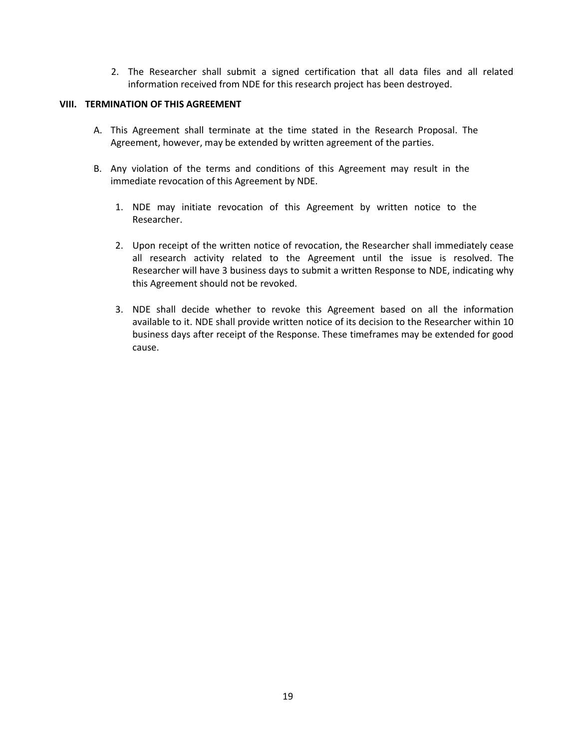2. The Researcher shall submit a signed certification that all data files and all related information received from NDE for this research project has been destroyed.

#### **VIII. TERMINATION OF THIS AGREEMENT**

- A. This Agreement shall terminate at the time stated in the Research Proposal. The Agreement, however, may be extended by written agreement of the parties.
- B. Any violation of the terms and conditions of this Agreement may result in the immediate revocation of this Agreement by NDE.
	- 1. NDE may initiate revocation of this Agreement by written notice to the Researcher.
	- 2. Upon receipt of the written notice of revocation, the Researcher shall immediately cease all research activity related to the Agreement until the issue is resolved. The Researcher will have 3 business days to submit a written Response to NDE, indicating why this Agreement should not be revoked.
	- 3. NDE shall decide whether to revoke this Agreement based on all the information available to it. NDE shall provide written notice of its decision to the Researcher within 10 business days after receipt of the Response. These timeframes may be extended for good cause.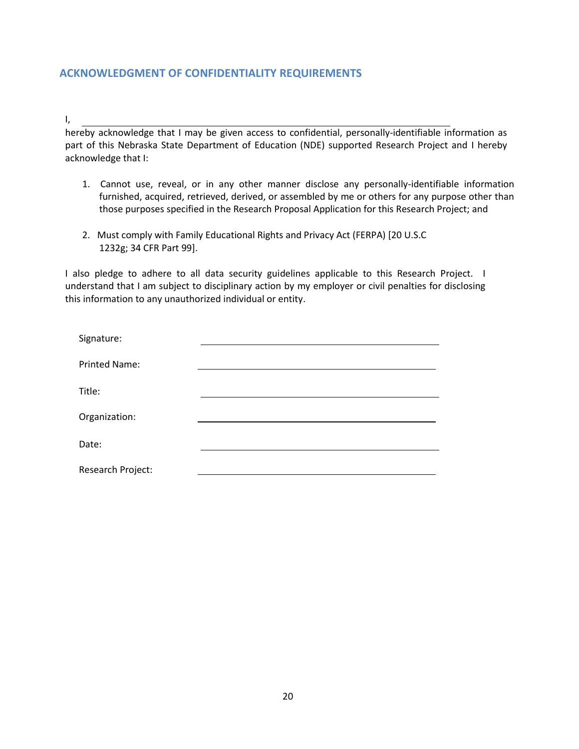## <span id="page-19-0"></span>**ACKNOWLEDGMENT OF CONFIDENTIALITY REQUIREMENTS**

I,

hereby acknowledge that I may be given access to confidential, personally-identifiable information as part of this Nebraska State Department of Education (NDE) supported Research Project and I hereby acknowledge that I:

- 1. Cannot use, reveal, or in any other manner disclose any personally-identifiable information furnished, acquired, retrieved, derived, or assembled by me or others for any purpose other than those purposes specified in the Research Proposal Application for this Research Project; and
- 2. Must comply with Family Educational Rights and Privacy Act (FERPA) [20 U.S.C 1232g; 34 CFR Part 99].

I also pledge to adhere to all data security guidelines applicable to this Research Project. I understand that I am subject to disciplinary action by my employer or civil penalties for disclosing this information to any unauthorized individual or entity.

| Signature:           |  |
|----------------------|--|
| <b>Printed Name:</b> |  |
| Title:               |  |
| Organization:        |  |
| Date:                |  |
| Research Project:    |  |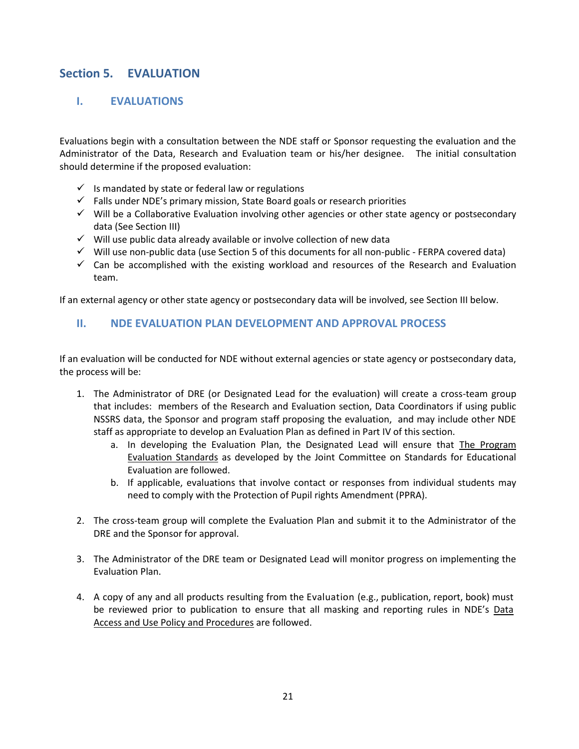# <span id="page-20-1"></span><span id="page-20-0"></span>**Section 5. EVALUATION**

## **I. EVALUATIONS**

Evaluations begin with a consultation between the NDE staff or Sponsor requesting the evaluation and the Administrator of the Data, Research and Evaluation team or his/her designee. The initial consultation should determine if the proposed evaluation:

- $\checkmark$  is mandated by state or federal law or regulations
- $\checkmark$  Falls under NDE's primary mission, State Board goals or research priorities
- $\checkmark$  Will be a Collaborative Evaluation involving other agencies or other state agency or postsecondary data (See Section III)
- $\checkmark$  Will use public data already available or involve collection of new data
- $\checkmark$  Will use non-public data (use Section 5 of this documents for all non-public FERPA covered data)
- $\checkmark$  Can be accomplished with the existing workload and resources of the Research and Evaluation team.

If an external agency or other state agency or postsecondary data will be involved, see Section III below.

## <span id="page-20-2"></span>**II. NDE EVALUATION PLAN DEVELOPMENT AND APPROVAL PROCESS**

If an evaluation will be conducted for NDE without external agencies or state agency or postsecondary data, the process will be:

- 1. The Administrator of DRE (or Designated Lead for the evaluation) will create a cross-team group that includes: members of the Research and Evaluation section, Data Coordinators if using public NSSRS data, the Sponsor and program staff proposing the evaluation, and may include other NDE staff as appropriate to develop an Evaluation Plan as defined in Part IV of this section.
	- a. In developing the Evaluation Plan, the Designated Lead will ensure that The Program Evaluation Standards as developed by the Joint Committee on Standards for Educational Evaluation are followed.
	- b. If applicable, evaluations that involve contact or responses from individual students may need to comply with the Protection of Pupil rights Amendment (PPRA).
- 2. The cross-team group will complete the Evaluation Plan and submit it to the Administrator of the DRE and the Sponsor for approval.
- 3. The Administrator of the DRE team or Designated Lead will monitor progress on implementing the Evaluation Plan.
- 4. A copy of any and all products resulting from the Evaluation (e.g., publication, report, book) must be reviewed prior to publication to ensure that all masking and reporting rules in NDE's Data Access and Use Policy and Procedures are followed.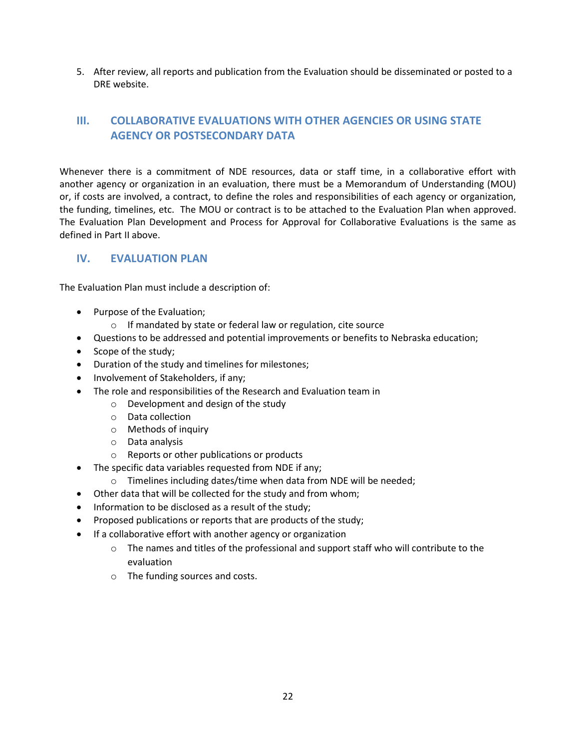5. After review, all reports and publication from the Evaluation should be disseminated or posted to a DRE website.

# <span id="page-21-0"></span>**III. COLLABORATIVE EVALUATIONS WITH OTHER AGENCIES OR USING STATE AGENCY OR POSTSECONDARY DATA**

Whenever there is a commitment of NDE resources, data or staff time, in a collaborative effort with another agency or organization in an evaluation, there must be a Memorandum of Understanding (MOU) or, if costs are involved, a contract, to define the roles and responsibilities of each agency or organization, the funding, timelines, etc. The MOU or contract is to be attached to the Evaluation Plan when approved. The Evaluation Plan Development and Process for Approval for Collaborative Evaluations is the same as defined in Part II above.

## <span id="page-21-1"></span>**IV. EVALUATION PLAN**

The Evaluation Plan must include a description of:

- Purpose of the Evaluation;
	- o If mandated by state or federal law or regulation, cite source
- Questions to be addressed and potential improvements or benefits to Nebraska education;
- Scope of the study;
- Duration of the study and timelines for milestones;
- Involvement of Stakeholders, if any;
- The role and responsibilities of the Research and Evaluation team in
	- o Development and design of the study
	- o Data collection
	- o Methods of inquiry
	- o Data analysis
	- o Reports or other publications or products
	- The specific data variables requested from NDE if any;
	- o Timelines including dates/time when data from NDE will be needed;
- Other data that will be collected for the study and from whom;
- Information to be disclosed as a result of the study;
- Proposed publications or reports that are products of the study;
- If a collaborative effort with another agency or organization
	- $\circ$  The names and titles of the professional and support staff who will contribute to the evaluation
	- o The funding sources and costs.